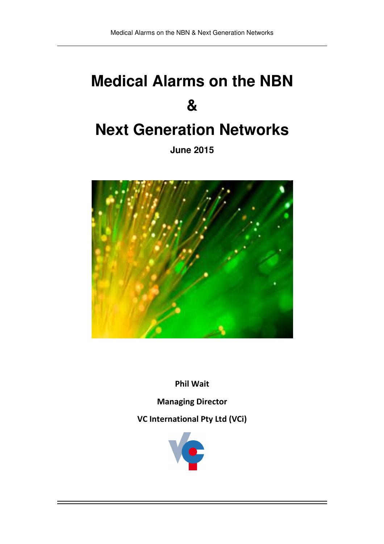# **Medical Alarms on the NBN &**

## **Next Generation Networks**

**June 2015** 



Phil Wait

Managing Director

VC International Pty Ltd (VCi)

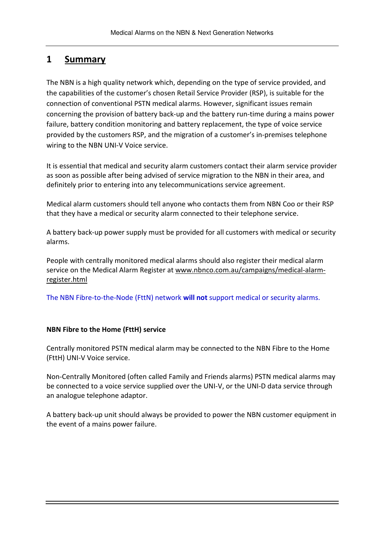## 1 Summary

The NBN is a high quality network which, depending on the type of service provided, and the capabilities of the customer's chosen Retail Service Provider (RSP), is suitable for the connection of conventional PSTN medical alarms. However, significant issues remain concerning the provision of battery back-up and the battery run-time during a mains power failure, battery condition monitoring and battery replacement, the type of voice service provided by the customers RSP, and the migration of a customer's in-premises telephone wiring to the NBN UNI-V Voice service.

It is essential that medical and security alarm customers contact their alarm service provider as soon as possible after being advised of service migration to the NBN in their area, and definitely prior to entering into any telecommunications service agreement.

Medical alarm customers should tell anyone who contacts them from NBN Coo or their RSP that they have a medical or security alarm connected to their telephone service.

A battery back-up power supply must be provided for all customers with medical or security alarms.

People with centrally monitored medical alarms should also register their medical alarm service on the Medical Alarm Register at www.nbnco.com.au/campaigns/medical-alarmregister.html

The NBN Fibre-to-the-Node (FttN) network will not support medical or security alarms.

#### NBN Fibre to the Home (FttH) service

Centrally monitored PSTN medical alarm may be connected to the NBN Fibre to the Home (FttH) UNI-V Voice service.

Non-Centrally Monitored (often called Family and Friends alarms) PSTN medical alarms may be connected to a voice service supplied over the UNI-V, or the UNI-D data service through an analogue telephone adaptor.

A battery back-up unit should always be provided to power the NBN customer equipment in the event of a mains power failure.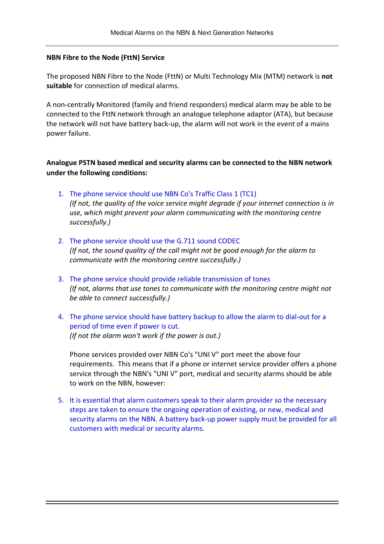#### NBN Fibre to the Node (FttN) Service

The proposed NBN Fibre to the Node (FttN) or Multi Technology Mix (MTM) network is not suitable for connection of medical alarms.

A non-centrally Monitored (family and friend responders) medical alarm may be able to be connected to the FttN network through an analogue telephone adaptor (ATA), but because the network will not have battery back-up, the alarm will not work in the event of a mains power failure.

Analogue PSTN based medical and security alarms can be connected to the NBN network under the following conditions:

- 1. The phone service should use NBN Co's Traffic Class 1 (TC1) (If not, the quality of the voice service might degrade if your internet connection is in use, which might prevent your alarm communicating with the monitoring centre successfully.)
- 2. The phone service should use the G.711 sound CODEC (If not, the sound quality of the call might not be good enough for the alarm to communicate with the monitoring centre successfully.)
- 3. The phone service should provide reliable transmission of tones (If not, alarms that use tones to communicate with the monitoring centre might not be able to connect successfully.)
- 4. The phone service should have battery backup to allow the alarm to dial-out for a period of time even if power is cut. (If not the alarm won't work if the power is out.)

 Phone services provided over NBN Co's "UNI V" port meet the above four requirements. This means that if a phone or internet service provider offers a phone service through the NBN's "UNI V" port, medical and security alarms should be able to work on the NBN, however:

5. It is essential that alarm customers speak to their alarm provider so the necessary steps are taken to ensure the ongoing operation of existing, or new, medical and security alarms on the NBN. A battery back-up power supply must be provided for all customers with medical or security alarms.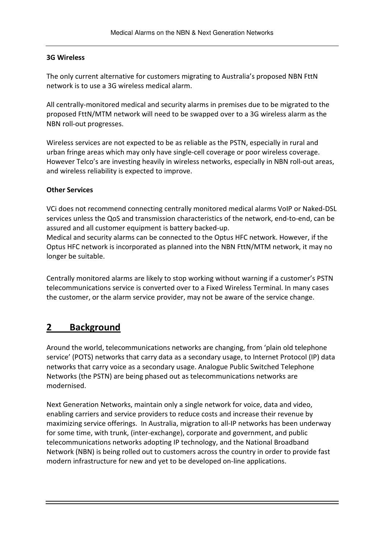#### 3G Wireless

The only current alternative for customers migrating to Australia's proposed NBN FttN network is to use a 3G wireless medical alarm.

All centrally-monitored medical and security alarms in premises due to be migrated to the proposed FttN/MTM network will need to be swapped over to a 3G wireless alarm as the NBN roll-out progresses.

Wireless services are not expected to be as reliable as the PSTN, especially in rural and urban fringe areas which may only have single-cell coverage or poor wireless coverage. However Telco's are investing heavily in wireless networks, especially in NBN roll-out areas, and wireless reliability is expected to improve.

#### Other Services

VCi does not recommend connecting centrally monitored medical alarms VoIP or Naked-DSL services unless the QoS and transmission characteristics of the network, end-to-end, can be assured and all customer equipment is battery backed-up.

Medical and security alarms can be connected to the Optus HFC network. However, if the Optus HFC network is incorporated as planned into the NBN FttN/MTM network, it may no longer be suitable.

Centrally monitored alarms are likely to stop working without warning if a customer's PSTN telecommunications service is converted over to a Fixed Wireless Terminal. In many cases the customer, or the alarm service provider, may not be aware of the service change.

## 2 Background

Around the world, telecommunications networks are changing, from 'plain old telephone service' (POTS) networks that carry data as a secondary usage, to Internet Protocol (IP) data networks that carry voice as a secondary usage. Analogue Public Switched Telephone Networks (the PSTN) are being phased out as telecommunications networks are modernised.

Next Generation Networks, maintain only a single network for voice, data and video, enabling carriers and service providers to reduce costs and increase their revenue by maximizing service offerings. In Australia, migration to all-IP networks has been underway for some time, with trunk, (inter-exchange), corporate and government, and public telecommunications networks adopting IP technology, and the National Broadband Network (NBN) is being rolled out to customers across the country in order to provide fast modern infrastructure for new and yet to be developed on-line applications.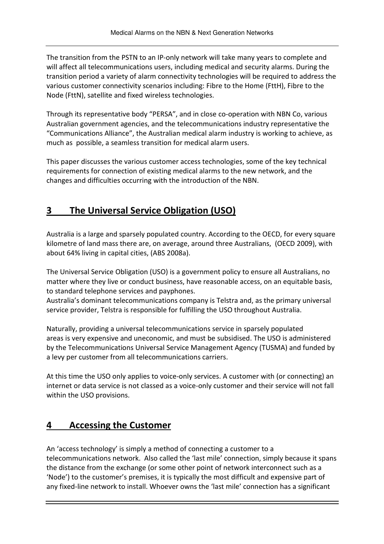The transition from the PSTN to an IP-only network will take many years to complete and will affect all telecommunications users, including medical and security alarms. During the transition period a variety of alarm connectivity technologies will be required to address the various customer connectivity scenarios including: Fibre to the Home (FttH), Fibre to the Node (FttN), satellite and fixed wireless technologies.

Through its representative body "PERSA", and in close co-operation with NBN Co, various Australian government agencies, and the telecommunications industry representative the "Communications Alliance", the Australian medical alarm industry is working to achieve, as much as possible, a seamless transition for medical alarm users.

This paper discusses the various customer access technologies, some of the key technical requirements for connection of existing medical alarms to the new network, and the changes and difficulties occurring with the introduction of the NBN.

## 3 The Universal Service Obligation (USO)

Australia is a large and sparsely populated country. According to the OECD, for every square kilometre of land mass there are, on average, around three Australians, (OECD 2009), with about 64% living in capital cities, (ABS 2008a).

The Universal Service Obligation (USO) is a government policy to ensure all Australians, no matter where they live or conduct business, have reasonable access, on an equitable basis, to standard telephone services and payphones.

Australia's dominant telecommunications company is Telstra and, as the primary universal service provider, Telstra is responsible for fulfilling the USO throughout Australia.

Naturally, providing a universal telecommunications service in sparsely populated areas is very expensive and uneconomic, and must be subsidised. The USO is administered by the Telecommunications Universal Service Management Agency (TUSMA) and funded by a levy per customer from all telecommunications carriers.

At this time the USO only applies to voice-only services. A customer with (or connecting) an internet or data service is not classed as a voice-only customer and their service will not fall within the USO provisions.

## 4 Accessing the Customer

An 'access technology' is simply a method of connecting a customer to a telecommunications network. Also called the 'last mile' connection, simply because it spans the distance from the exchange (or some other point of network interconnect such as a 'Node') to the customer's premises, it is typically the most difficult and expensive part of any fixed-line network to install. Whoever owns the 'last mile' connection has a significant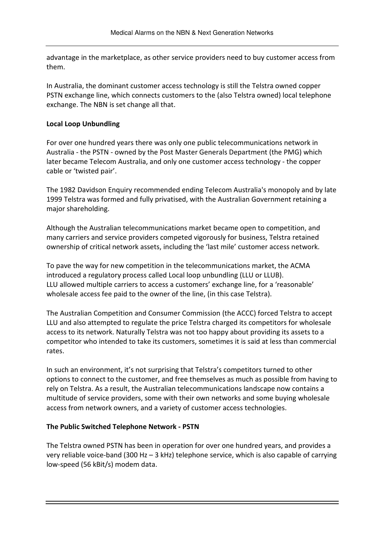advantage in the marketplace, as other service providers need to buy customer access from them.

In Australia, the dominant customer access technology is still the Telstra owned copper PSTN exchange line, which connects customers to the (also Telstra owned) local telephone exchange. The NBN is set change all that.

#### Local Loop Unbundling

For over one hundred years there was only one public telecommunications network in Australia - the PSTN - owned by the Post Master Generals Department (the PMG) which later became Telecom Australia, and only one customer access technology - the copper cable or 'twisted pair'.

The 1982 Davidson Enquiry recommended ending Telecom Australia's monopoly and by late 1999 Telstra was formed and fully privatised, with the Australian Government retaining a major shareholding.

Although the Australian telecommunications market became open to competition, and many carriers and service providers competed vigorously for business, Telstra retained ownership of critical network assets, including the 'last mile' customer access network.

To pave the way for new competition in the telecommunications market, the ACMA introduced a regulatory process called Local loop unbundling (LLU or LLUB). LLU allowed multiple carriers to access a customers' exchange line, for a 'reasonable' wholesale access fee paid to the owner of the line, (in this case Telstra).

The Australian Competition and Consumer Commission (the ACCC) forced Telstra to accept LLU and also attempted to regulate the price Telstra charged its competitors for wholesale access to its network. Naturally Telstra was not too happy about providing its assets to a competitor who intended to take its customers, sometimes it is said at less than commercial rates.

In such an environment, it's not surprising that Telstra's competitors turned to other options to connect to the customer, and free themselves as much as possible from having to rely on Telstra. As a result, the Australian telecommunications landscape now contains a multitude of service providers, some with their own networks and some buying wholesale access from network owners, and a variety of customer access technologies.

#### The Public Switched Telephone Network - PSTN

The Telstra owned PSTN has been in operation for over one hundred years, and provides a very reliable voice-band (300 Hz – 3 kHz) telephone service, which is also capable of carrying low-speed (56 kBit/s) modem data.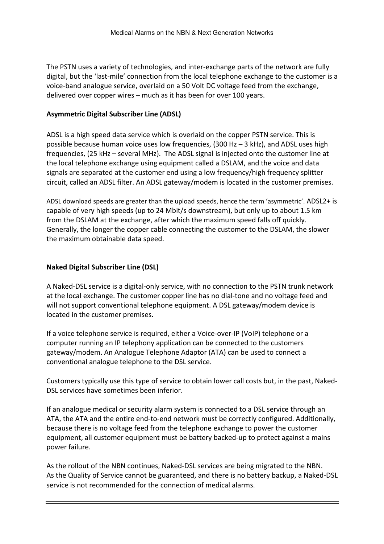The PSTN uses a variety of technologies, and inter-exchange parts of the network are fully digital, but the 'last-mile' connection from the local telephone exchange to the customer is a voice-band analogue service, overlaid on a 50 Volt DC voltage feed from the exchange, delivered over copper wires – much as it has been for over 100 years.

## Asymmetric Digital Subscriber Line (ADSL)

ADSL is a high speed data service which is overlaid on the copper PSTN service. This is possible because human voice uses low frequencies, (300 Hz – 3 kHz), and ADSL uses high frequencies, (25 kHz – several MHz). The ADSL signal is injected onto the customer line at the local telephone exchange using equipment called a DSLAM, and the voice and data signals are separated at the customer end using a low frequency/high frequency splitter circuit, called an ADSL filter. An ADSL gateway/modem is located in the customer premises.

ADSL download speeds are greater than the upload speeds, hence the term 'asymmetric'. ADSL2+ is capable of very high speeds (up to 24 Mbit/s downstream), but only up to about 1.5 km from the DSLAM at the exchange, after which the maximum speed falls off quickly. Generally, the longer the copper cable connecting the customer to the DSLAM, the slower the maximum obtainable data speed.

## Naked Digital Subscriber Line (DSL)

A Naked-DSL service is a digital-only service, with no connection to the PSTN trunk network at the local exchange. The customer copper line has no dial-tone and no voltage feed and will not support conventional telephone equipment. A DSL gateway/modem device is located in the customer premises.

If a voice telephone service is required, either a Voice-over-IP (VoIP) telephone or a computer running an IP telephony application can be connected to the customers gateway/modem. An Analogue Telephone Adaptor (ATA) can be used to connect a conventional analogue telephone to the DSL service.

Customers typically use this type of service to obtain lower call costs but, in the past, Naked-DSL services have sometimes been inferior.

If an analogue medical or security alarm system is connected to a DSL service through an ATA, the ATA and the entire end-to-end network must be correctly configured. Additionally, because there is no voltage feed from the telephone exchange to power the customer equipment, all customer equipment must be battery backed-up to protect against a mains power failure.

As the rollout of the NBN continues, Naked-DSL services are being migrated to the NBN. As the Quality of Service cannot be guaranteed, and there is no battery backup, a Naked-DSL service is not recommended for the connection of medical alarms.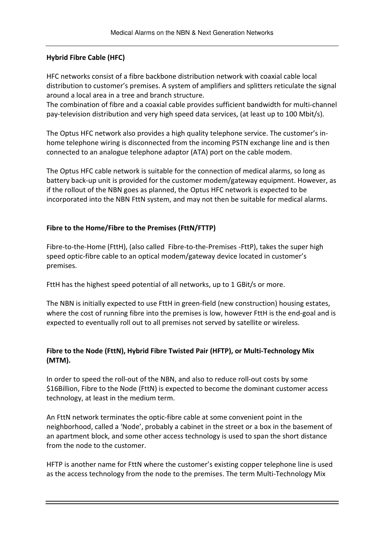## Hybrid Fibre Cable (HFC)

HFC networks consist of a fibre backbone distribution network with coaxial cable local distribution to customer's premises. A system of amplifiers and splitters reticulate the signal around a local area in a tree and branch structure.

The combination of fibre and a coaxial cable provides sufficient bandwidth for multi-channel pay-television distribution and very high speed data services, (at least up to 100 Mbit/s).

The Optus HFC network also provides a high quality telephone service. The customer's inhome telephone wiring is disconnected from the incoming PSTN exchange line and is then connected to an analogue telephone adaptor (ATA) port on the cable modem.

The Optus HFC cable network is suitable for the connection of medical alarms, so long as battery back-up unit is provided for the customer modem/gateway equipment. However, as if the rollout of the NBN goes as planned, the Optus HFC network is expected to be incorporated into the NBN FttN system, and may not then be suitable for medical alarms.

## Fibre to the Home/Fibre to the Premises (FttN/FTTP)

Fibre-to-the-Home (FttH), (also called Fibre-to-the-Premises -FttP), takes the super high speed optic-fibre cable to an optical modem/gateway device located in customer's premises.

FttH has the highest speed potential of all networks, up to 1 GBit/s or more.

The NBN is initially expected to use FttH in green-field (new construction) housing estates, where the cost of running fibre into the premises is low, however FttH is the end-goal and is expected to eventually roll out to all premises not served by satellite or wireless.

## Fibre to the Node (FttN), Hybrid Fibre Twisted Pair (HFTP), or Multi-Technology Mix (MTM).

In order to speed the roll-out of the NBN, and also to reduce roll-out costs by some \$16Billion, Fibre to the Node (FttN) is expected to become the dominant customer access technology, at least in the medium term.

An FttN network terminates the optic-fibre cable at some convenient point in the neighborhood, called a 'Node', probably a cabinet in the street or a box in the basement of an apartment block, and some other access technology is used to span the short distance from the node to the customer.

HFTP is another name for FttN where the customer's existing copper telephone line is used as the access technology from the node to the premises. The term Multi-Technology Mix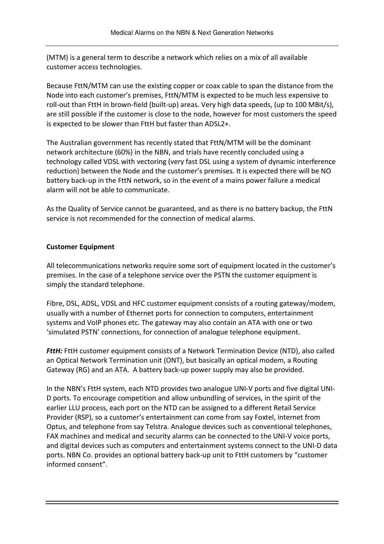(MTM) is a general term to describe a network which relies on a mix of all available customer access technologies.

Because FttN/MTM can use the existing copper or coax cable to span the distance from the Node into each customer's premises, FttN/MTM is expected to be much less expensive to roll-out than FttH in brown-field (built-up) areas. Very high data speeds, (up to 100 MBit/s), are still possible if the customer is close to the node, however for most customers the speed is expected to be slower than FttH but faster than ADSL2+.

The Australian government has recently stated that FttN/MTM will be the dominant network architecture (60%) in the NBN, and trials have recently concluded using a technology called VDSL with vectoring (very fast DSL using a system of dynamic interference reduction) between the Node and the customer's premises. It is expected there will be NO battery back-up in the FttN network, so in the event of a mains power failure a medical alarm will not be able to communicate.

As the Quality of Service cannot be guaranteed, and as there is no battery backup, the FttN service is not recommended for the connection of medical alarms.

## Customer Equipment

All telecommunications networks require some sort of equipment located in the customer's premises. In the case of a telephone service over the PSTN the customer equipment is simply the standard telephone.

Fibre, DSL, ADSL, VDSL and HFC customer equipment consists of a routing gateway/modem, usually with a number of Ethernet ports for connection to computers, entertainment systems and VoIP phones etc. The gateway may also contain an ATA with one or two 'simulated PSTN' connections, for connection of analogue telephone equipment.

**FttH:** FttH customer equipment consists of a Network Termination Device (NTD), also called an Optical Network Termination unit (ONT), but basically an optical modem, a Routing Gateway (RG) and an ATA. A battery back-up power supply may also be provided.

In the NBN's FttH system, each NTD provides two analogue UNI-V ports and five digital UNI-D ports. To encourage competition and allow unbundling of services, in the spirit of the earlier LLU process, each port on the NTD can be assigned to a different Retail Service Provider (RSP), so a customer's entertainment can come from say Foxtel, internet from Optus, and telephone from say Telstra. Analogue devices such as conventional telephones, FAX machines and medical and security alarms can be connected to the UNI-V voice ports, and digital devices such as computers and entertainment systems connect to the UNI-D data ports. NBN Co. provides an optional battery back-up unit to FttH customers by "customer informed consent".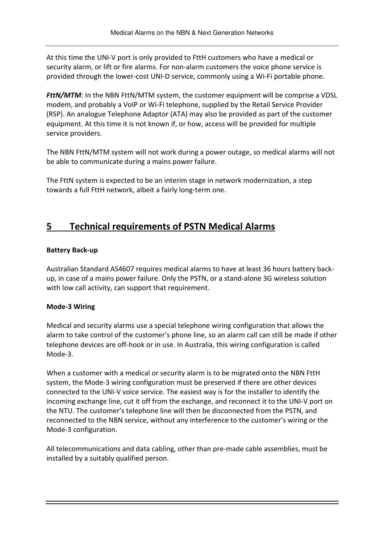At this time the UNI-V port is only provided to FttH customers who have a medical or security alarm, or lift or fire alarms. For non-alarm customers the voice phone service is provided through the lower-cost UNI-D service, commonly using a Wi-Fi portable phone.

FttN/MTM: In the NBN FttN/MTM system, the customer equipment will be comprise a VDSL modem, and probably a VoIP or Wi-Fi telephone, supplied by the Retail Service Provider (RSP). An analogue Telephone Adaptor (ATA) may also be provided as part of the customer equipment. At this time it is not known if, or how, access will be provided for multiple service providers.

The NBN FttN/MTM system will not work during a power outage, so medical alarms will not be able to communicate during a mains power failure.

The FttN system is expected to be an interim stage in network modernization, a step towards a full FttH network, albeit a fairly long-term one.

## 5 Technical requirements of PSTN Medical Alarms

## Battery Back-up

Australian Standard AS4607 requires medical alarms to have at least 36 hours battery backup, in case of a mains power failure. Only the PSTN, or a stand-alone 3G wireless solution with low call activity, can support that requirement.

## Mode-3 Wiring

Medical and security alarms use a special telephone wiring configuration that allows the alarm to take control of the customer's phone line, so an alarm call can still be made if other telephone devices are off-hook or in use. In Australia, this wiring configuration is called Mode-3.

When a customer with a medical or security alarm is to be migrated onto the NBN FttH system, the Mode-3 wiring configuration must be preserved if there are other devices connected to the UNI-V voice service. The easiest way is for the installer to identify the incoming exchange line, cut it off from the exchange, and reconnect it to the UNI-V port on the NTU. The customer's telephone line will then be disconnected from the PSTN, and reconnected to the NBN service, without any interference to the customer's wiring or the Mode-3 configuration.

All telecommunications and data cabling, other than pre-made cable assemblies, must be installed by a suitably qualified person.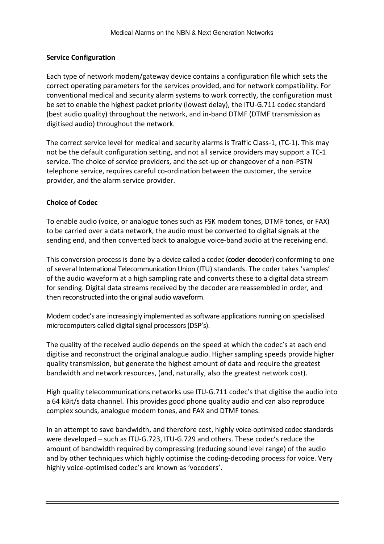## Service Configuration

Each type of network modem/gateway device contains a configuration file which sets the correct operating parameters for the services provided, and for network compatibility. For conventional medical and security alarm systems to work correctly, the configuration must be set to enable the highest packet priority (lowest delay), the ITU-G.711 codec standard (best audio quality) throughout the network, and in-band DTMF (DTMF transmission as digitised audio) throughout the network.

The correct service level for medical and security alarms is Traffic Class-1, (TC-1). This may not be the default configuration setting, and not all service providers may support a TC-1 service. The choice of service providers, and the set-up or changeover of a non-PSTN telephone service, requires careful co-ordination between the customer, the service provider, and the alarm service provider.

## Choice of Codec

To enable audio (voice, or analogue tones such as FSK modem tones, DTMF tones, or FAX) to be carried over a data network, the audio must be converted to digital signals at the sending end, and then converted back to analogue voice-band audio at the receiving end.

This conversion process is done by a device called a codec (coder-decoder) conforming to one of several International Telecommunication Union (ITU) standards. The coder takes 'samples' of the audio waveform at a high sampling rate and converts these to a digital data stream for sending. Digital data streams received by the decoder are reassembled in order, and then reconstructed into the original audio waveform.

Modern codec's are increasingly implemented as software applications running on specialised microcomputers called digital signal processors (DSP's).

The quality of the received audio depends on the speed at which the codec's at each end digitise and reconstruct the original analogue audio. Higher sampling speeds provide higher quality transmission, but generate the highest amount of data and require the greatest bandwidth and network resources, (and, naturally, also the greatest network cost).

High quality telecommunications networks use ITU-G.711 codec's that digitise the audio into a 64 kBit/s data channel. This provides good phone quality audio and can also reproduce complex sounds, analogue modem tones, and FAX and DTMF tones.

In an attempt to save bandwidth, and therefore cost, highly voice-optimised codec standards were developed – such as ITU-G.723, ITU-G.729 and others. These codec's reduce the amount of bandwidth required by compressing (reducing sound level range) of the audio and by other techniques which highly optimise the coding-decoding process for voice. Very highly voice-optimised codec's are known as 'vocoders'.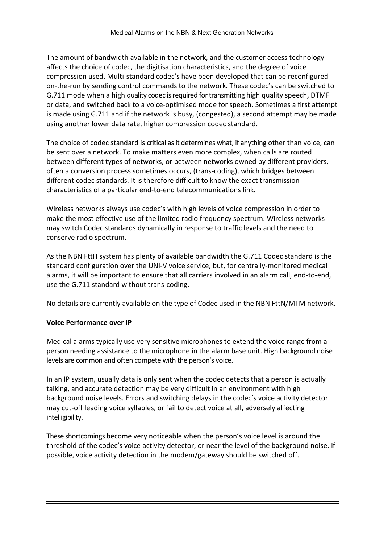The amount of bandwidth available in the network, and the customer access technology affects the choice of codec, the digitisation characteristics, and the degree of voice compression used. Multi-standard codec's have been developed that can be reconfigured on-the-run by sending control commands to the network. These codec's can be switched to G.711 mode when a high quality codec is required for transmitting high quality speech, DTMF or data, and switched back to a voice-optimised mode for speech. Sometimes a first attempt is made using G.711 and if the network is busy, (congested), a second attempt may be made using another lower data rate, higher compression codec standard.

The choice of codec standard is critical as it determines what, if anything other than voice, can be sent over a network. To make matters even more complex, when calls are routed between different types of networks, or between networks owned by different providers, often a conversion process sometimes occurs, (trans-coding), which bridges between different codec standards. It is therefore difficult to know the exact transmission characteristics of a particular end-to-end telecommunications link.

Wireless networks always use codec's with high levels of voice compression in order to make the most effective use of the limited radio frequency spectrum. Wireless networks may switch Codec standards dynamically in response to traffic levels and the need to conserve radio spectrum.

As the NBN FttH system has plenty of available bandwidth the G.711 Codec standard is the standard configuration over the UNI-V voice service, but, for centrally-monitored medical alarms, it will be important to ensure that all carriers involved in an alarm call, end-to-end, use the G.711 standard without trans-coding.

No details are currently available on the type of Codec used in the NBN FttN/MTM network.

#### Voice Performance over IP

Medical alarms typically use very sensitive microphones to extend the voice range from a person needing assistance to the microphone in the alarm base unit. High background noise levels are common and often compete with the person's voice.

In an IP system, usually data is only sent when the codec detects that a person is actually talking, and accurate detection may be very difficult in an environment with high background noise levels. Errors and switching delays in the codec's voice activity detector may cut-off leading voice syllables, or fail to detect voice at all, adversely affecting intelligibility.

These shortcomings become very noticeable when the person's voice level is around the threshold of the codec's voice activity detector, or near the level of the background noise. If possible, voice activity detection in the modem/gateway should be switched off.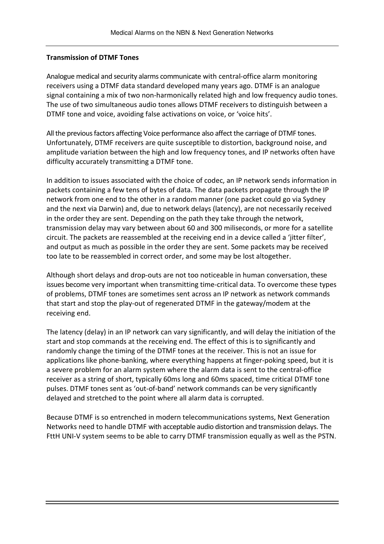#### Transmission of DTMF Tones

Analogue medical and security alarms communicate with central-office alarm monitoring receivers using a DTMF data standard developed many years ago. DTMF is an analogue signal containing a mix of two non-harmonically related high and low frequency audio tones. The use of two simultaneous audio tones allows DTMF receivers to distinguish between a DTMF tone and voice, avoiding false activations on voice, or 'voice hits'.

All the previous factors affecting Voice performance also affect the carriage of DTMF tones. Unfortunately, DTMF receivers are quite susceptible to distortion, background noise, and amplitude variation between the high and low frequency tones, and IP networks often have difficulty accurately transmitting a DTMF tone.

In addition to issues associated with the choice of codec, an IP network sends information in packets containing a few tens of bytes of data. The data packets propagate through the IP network from one end to the other in a random manner (one packet could go via Sydney and the next via Darwin) and, due to network delays (latency), are not necessarily received in the order they are sent. Depending on the path they take through the network, transmission delay may vary between about 60 and 300 miliseconds, or more for a satellite circuit. The packets are reassembled at the receiving end in a device called a 'jitter filter', and output as much as possible in the order they are sent. Some packets may be received too late to be reassembled in correct order, and some may be lost altogether.

Although short delays and drop-outs are not too noticeable in human conversation, these issues become very important when transmitting time-critical data. To overcome these types of problems, DTMF tones are sometimes sent across an IP network as network commands that start and stop the play-out of regenerated DTMF in the gateway/modem at the receiving end.

The latency (delay) in an IP network can vary significantly, and will delay the initiation of the start and stop commands at the receiving end. The effect of this is to significantly and randomly change the timing of the DTMF tones at the receiver. This is not an issue for applications like phone-banking, where everything happens at finger-poking speed, but it is a severe problem for an alarm system where the alarm data is sent to the central-office receiver as a string of short, typically 60ms long and 60ms spaced, time critical DTMF tone pulses. DTMF tones sent as 'out-of-band' network commands can be very significantly delayed and stretched to the point where all alarm data is corrupted.

Because DTMF is so entrenched in modern telecommunications systems, Next Generation Networks need to handle DTMF with acceptable audio distortion and transmission delays. The FttH UNI-V system seems to be able to carry DTMF transmission equally as well as the PSTN.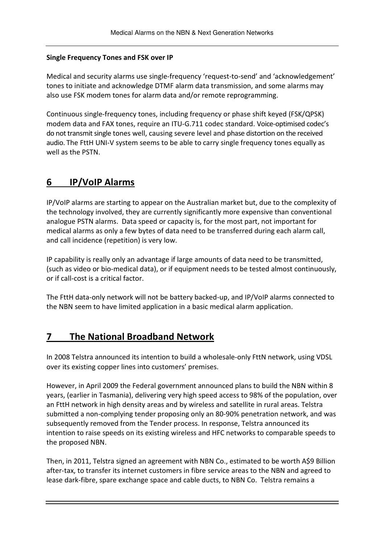## Single Frequency Tones and FSK over IP

Medical and security alarms use single-frequency 'request-to-send' and 'acknowledgement' tones to initiate and acknowledge DTMF alarm data transmission, and some alarms may also use FSK modem tones for alarm data and/or remote reprogramming.

Continuous single-frequency tones, including frequency or phase shift keyed (FSK/QPSK) modem data and FAX tones, require an ITU-G.711 codec standard. Voice-optimised codec's do not transmit single tones well, causing severe level and phase distortion on the received audio. The FttH UNI-V system seems to be able to carry single frequency tones equally as well as the PSTN.

## 6 IP/VoIP Alarms

IP/VoIP alarms are starting to appear on the Australian market but, due to the complexity of the technology involved, they are currently significantly more expensive than conventional analogue PSTN alarms. Data speed or capacity is, for the most part, not important for medical alarms as only a few bytes of data need to be transferred during each alarm call, and call incidence (repetition) is very low.

IP capability is really only an advantage if large amounts of data need to be transmitted, (such as video or bio-medical data), or if equipment needs to be tested almost continuously, or if call-cost is a critical factor.

The FttH data-only network will not be battery backed-up, and IP/VoIP alarms connected to the NBN seem to have limited application in a basic medical alarm application.

## 7 The National Broadband Network

In 2008 Telstra announced its intention to build a wholesale-only FttN network, using VDSL over its existing copper lines into customers' premises.

However, in April 2009 the Federal government announced plans to build the NBN within 8 years, (earlier in Tasmania), delivering very high speed access to 98% of the population, over an FttH network in high density areas and by wireless and satellite in rural areas. Telstra submitted a non-complying tender proposing only an 80-90% penetration network, and was subsequently removed from the Tender process. In response, Telstra announced its intention to raise speeds on its existing wireless and HFC networks to comparable speeds to the proposed NBN.

Then, in 2011, Telstra signed an agreement with NBN Co., estimated to be worth A\$9 Billion after-tax, to transfer its internet customers in fibre service areas to the NBN and agreed to lease dark-fibre, spare exchange space and cable ducts, to NBN Co. Telstra remains a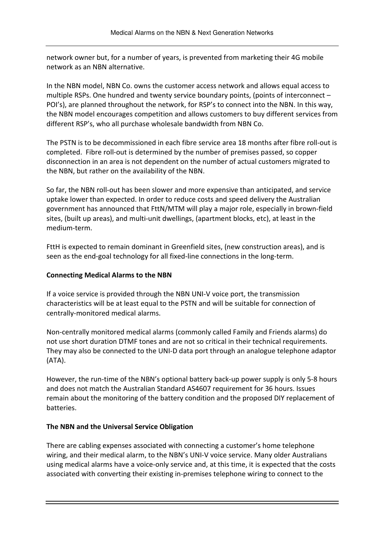network owner but, for a number of years, is prevented from marketing their 4G mobile network as an NBN alternative.

In the NBN model, NBN Co. owns the customer access network and allows equal access to multiple RSPs. One hundred and twenty service boundary points, (points of interconnect – POI's), are planned throughout the network, for RSP's to connect into the NBN. In this way, the NBN model encourages competition and allows customers to buy different services from different RSP's, who all purchase wholesale bandwidth from NBN Co.

The PSTN is to be decommissioned in each fibre service area 18 months after fibre roll-out is completed. Fibre roll-out is determined by the number of premises passed, so copper disconnection in an area is not dependent on the number of actual customers migrated to the NBN, but rather on the availability of the NBN.

So far, the NBN roll-out has been slower and more expensive than anticipated, and service uptake lower than expected. In order to reduce costs and speed delivery the Australian government has announced that FttN/MTM will play a major role, especially in brown-field sites, (built up areas), and multi-unit dwellings, (apartment blocks, etc), at least in the medium-term.

FttH is expected to remain dominant in Greenfield sites, (new construction areas), and is seen as the end-goal technology for all fixed-line connections in the long-term.

## Connecting Medical Alarms to the NBN

If a voice service is provided through the NBN UNI-V voice port, the transmission characteristics will be at least equal to the PSTN and will be suitable for connection of centrally-monitored medical alarms.

Non-centrally monitored medical alarms (commonly called Family and Friends alarms) do not use short duration DTMF tones and are not so critical in their technical requirements. They may also be connected to the UNI-D data port through an analogue telephone adaptor (ATA).

However, the run-time of the NBN's optional battery back-up power supply is only 5-8 hours and does not match the Australian Standard AS4607 requirement for 36 hours. Issues remain about the monitoring of the battery condition and the proposed DIY replacement of batteries.

#### The NBN and the Universal Service Obligation

There are cabling expenses associated with connecting a customer's home telephone wiring, and their medical alarm, to the NBN's UNI-V voice service. Many older Australians using medical alarms have a voice-only service and, at this time, it is expected that the costs associated with converting their existing in-premises telephone wiring to connect to the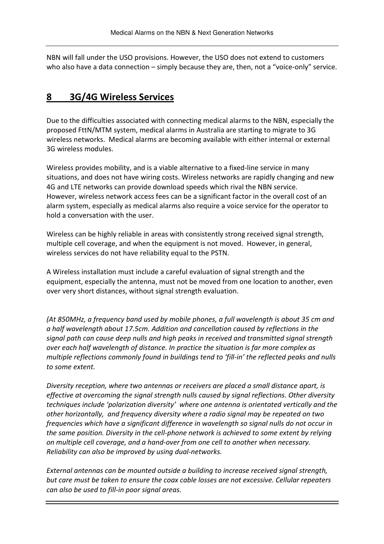NBN will fall under the USO provisions. However, the USO does not extend to customers who also have a data connection – simply because they are, then, not a "voice-only" service.

## 8 3G/4G Wireless Services

Due to the difficulties associated with connecting medical alarms to the NBN, especially the proposed FttN/MTM system, medical alarms in Australia are starting to migrate to 3G wireless networks. Medical alarms are becoming available with either internal or external 3G wireless modules.

Wireless provides mobility, and is a viable alternative to a fixed-line service in many situations, and does not have wiring costs. Wireless networks are rapidly changing and new 4G and LTE networks can provide download speeds which rival the NBN service. However, wireless network access fees can be a significant factor in the overall cost of an alarm system, especially as medical alarms also require a voice service for the operator to hold a conversation with the user.

Wireless can be highly reliable in areas with consistently strong received signal strength, multiple cell coverage, and when the equipment is not moved. However, in general, wireless services do not have reliability equal to the PSTN.

A Wireless installation must include a careful evaluation of signal strength and the equipment, especially the antenna, must not be moved from one location to another, even over very short distances, without signal strength evaluation.

(At 850MHz, a frequency band used by mobile phones, a full wavelength is about 35 cm and a half wavelength about 17.5cm. Addition and cancellation caused by reflections in the signal path can cause deep nulls and high peaks in received and transmitted signal strength over each half wavelength of distance. In practice the situation is far more complex as multiple reflections commonly found in buildings tend to 'fill-in' the reflected peaks and nulls to some extent.

Diversity reception, where two antennas or receivers are placed a small distance apart, is effective at overcoming the signal strength nulls caused by signal reflections. Other diversity techniques include 'polarization diversity' where one antenna is orientated vertically and the other horizontally, and frequency diversity where a radio signal may be repeated on two frequencies which have a significant difference in wavelength so signal nulls do not occur in the same position. Diversity in the cell-phone network is achieved to some extent by relying on multiple cell coverage, and a hand-over from one cell to another when necessary. Reliability can also be improved by using dual-networks.

External antennas can be mounted outside a building to increase received signal strength, but care must be taken to ensure the coax cable losses are not excessive. Cellular repeaters can also be used to fill-in poor signal areas.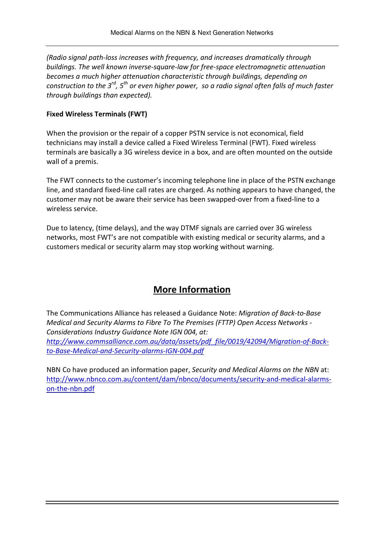(Radio signal path-loss increases with frequency, and increases dramatically through buildings. The well known inverse-square-law for free-space electromagnetic attenuation becomes a much higher attenuation characteristic through buildings, depending on construction to the  $3^{rd}$ ,  $5^{th}$  or even higher power, so a radio signal often falls of much faster through buildings than expected).

## Fixed Wireless Terminals (FWT)

When the provision or the repair of a copper PSTN service is not economical, field technicians may install a device called a Fixed Wireless Terminal (FWT). Fixed wireless terminals are basically a 3G wireless device in a box, and are often mounted on the outside wall of a premis.

The FWT connects to the customer's incoming telephone line in place of the PSTN exchange line, and standard fixed-line call rates are charged. As nothing appears to have changed, the customer may not be aware their service has been swapped-over from a fixed-line to a wireless service.

Due to latency, (time delays), and the way DTMF signals are carried over 3G wireless networks, most FWT's are not compatible with existing medical or security alarms, and a customers medical or security alarm may stop working without warning.

## More Information

The Communications Alliance has released a Guidance Note: Migration of Back-to-Base Medical and Security Alarms to Fibre To The Premises (FTTP) Open Access Networks - Considerations Industry Guidance Note IGN 004, at:

http://www.commsalliance.com.au/data/assets/pdf\_file/0019/42094/Migration-of-Backto-Base-Medical-and-Security-alarms-IGN-004.pdf

NBN Co have produced an information paper, Security and Medical Alarms on the NBN at: http://www.nbnco.com.au/content/dam/nbnco/documents/security-and-medical-alarmson-the-nbn.pdf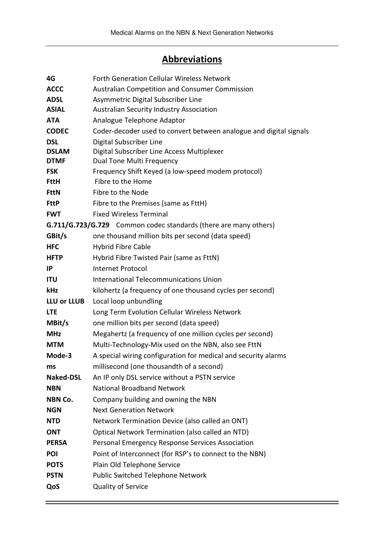## **Abbreviations**

| 4G                 | <b>Forth Generation Cellular Wireless Network</b>                       |
|--------------------|-------------------------------------------------------------------------|
| <b>ACCC</b>        | Australian Competition and Consumer Commission                          |
| <b>ADSL</b>        | Asymmetric Digital Subscriber Line                                      |
| <b>ASIAL</b>       | Australian Security Industry Association                                |
| <b>ATA</b>         | Analogue Telephone Adaptor                                              |
| <b>CODEC</b>       | Coder-decoder used to convert between analogue and digital signals      |
| <b>DSL</b>         | Digital Subscriber Line                                                 |
| <b>DSLAM</b>       | Digital Subscriber Line Access Multiplexer                              |
| <b>DTMF</b>        | Dual Tone Multi Frequency                                               |
| <b>FSK</b>         | Frequency Shift Keyed (a low-speed modem protocol)                      |
| <b>FttH</b>        | Fibre to the Home                                                       |
| <b>FttN</b>        | Fibre to the Node                                                       |
| <b>FttP</b>        | Fibre to the Premises (same as FttH)                                    |
| <b>FWT</b>         | <b>Fixed Wireless Terminal</b>                                          |
|                    | <b>G.711/G.723/G.729</b> Common codec standards (there are many others) |
| GBit/s             | one thousand million bits per second (data speed)                       |
| <b>HFC</b>         | <b>Hybrid Fibre Cable</b>                                               |
| <b>HFTP</b>        | Hybrid Fibre Twisted Pair (same as FttN)                                |
| IP                 | <b>Internet Protocol</b>                                                |
| <b>ITU</b>         | International Telecommunications Union                                  |
| kHz                | kilohertz (a frequency of one thousand cycles per second)               |
| <b>LLU or LLUB</b> | Local loop unbundling                                                   |
| <b>LTE</b>         | Long Term Evolution Cellular Wireless Network                           |
| MBit/s             | one million bits per second (data speed)                                |
| <b>MHz</b>         | Megahertz (a frequency of one million cycles per second)                |
| <b>MTM</b>         | Multi-Technology-Mix used on the NBN, also see FttN                     |
| Mode-3             | A special wiring configuration for medical and security alarms          |
| ms                 | millisecond (one thousandth of a second)                                |
| <b>Naked-DSL</b>   | An IP only DSL service without a PSTN service                           |
| <b>NBN</b>         | <b>National Broadband Network</b>                                       |
| NBN Co.            | Company building and owning the NBN                                     |
| <b>NGN</b>         | <b>Next Generation Network</b>                                          |
| <b>NTD</b>         | Network Termination Device (also called an ONT)                         |
| <b>ONT</b>         | Optical Network Termination (also called an NTD)                        |
| <b>PERSA</b>       | Personal Emergency Response Services Association                        |
| POI                | Point of Interconnect (for RSP's to connect to the NBN)                 |
| <b>POTS</b>        | Plain Old Telephone Service                                             |
| <b>PSTN</b>        | Public Switched Telephone Network                                       |
| QoS                | Quality of Service                                                      |